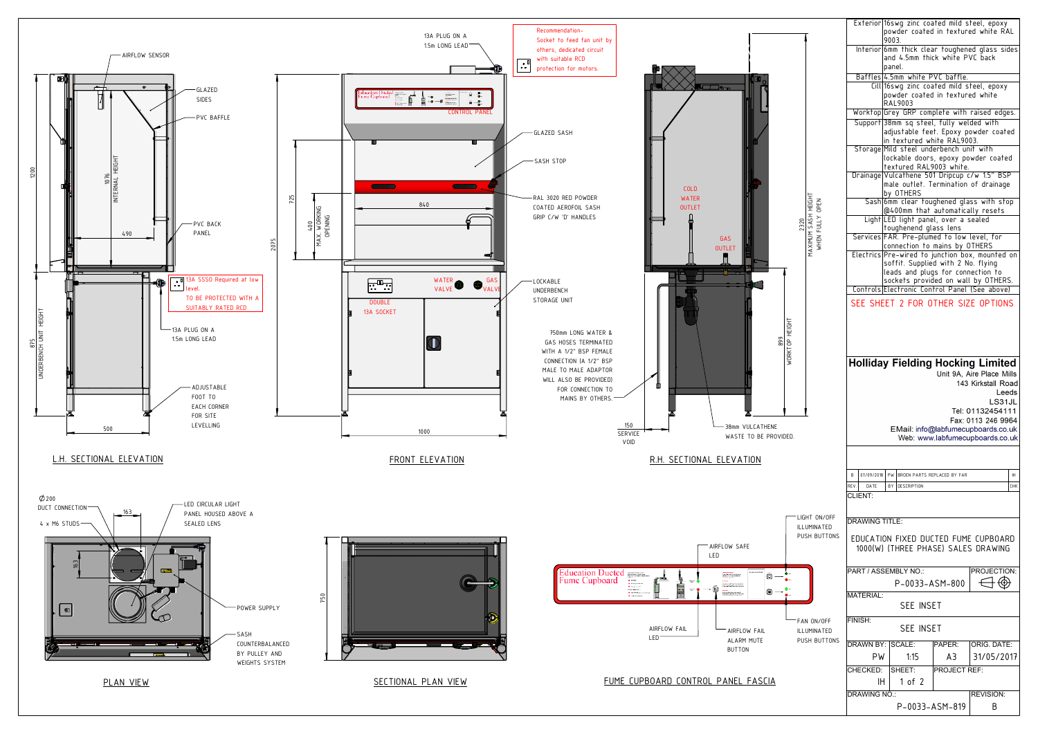

|                                             |                                            |                                      | Exterior 16swg zinc coated mild steel, epoxy<br>powder coated in textured white RAL<br>9003.                                                                                                   |  |
|---------------------------------------------|--------------------------------------------|--------------------------------------|------------------------------------------------------------------------------------------------------------------------------------------------------------------------------------------------|--|
|                                             |                                            |                                      | Interior 6mm thick clear toughened glass sides<br>and 4.5mm thick white PVC back<br>panel.                                                                                                     |  |
|                                             |                                            |                                      | Baffles 4.5mm white PVC baffle.                                                                                                                                                                |  |
|                                             |                                            |                                      | Cill 16swg zinc coated mild steel, epoxy<br>powder coated in textured white<br>RAL9003                                                                                                         |  |
|                                             |                                            |                                      | Worktop Grey GRP complete with raised edges.                                                                                                                                                   |  |
|                                             |                                            |                                      | Support 38mm sq steel, fully welded with<br>adjustable feet. Epoxy powder coated<br>in textured white RAL9003.                                                                                 |  |
|                                             |                                            |                                      | Storage Mild steel underbench unit with<br>lockable doors, epoxy powder coated                                                                                                                 |  |
|                                             |                                            |                                      | textured RAL9003 white.<br>Drainage Vulcathene 501 Dripcup c/w 1.5" BSP<br>male outlet. Termination of drainage                                                                                |  |
|                                             | MAKIMUN SASH HEIGHT<br>THOIAH HSYS WIMIXYW |                                      | by OTHERS<br>Sash 6mm clear toughened glass with stop<br>@400mm that automatically resets                                                                                                      |  |
| 2320                                        |                                            |                                      | Light LED light panel, over a sealed                                                                                                                                                           |  |
|                                             |                                            |                                      | toughenend glass lens<br>Services FAR. Pre-plumed to low level, for                                                                                                                            |  |
|                                             |                                            |                                      | connection to mains by OTHERS                                                                                                                                                                  |  |
|                                             |                                            |                                      | Electrics Pre-wired to junction box, mounted on<br>soffit. Supplied with 2 No. flying                                                                                                          |  |
|                                             |                                            |                                      | leads and plugs for connection to                                                                                                                                                              |  |
|                                             |                                            |                                      | sockets provided on wall by OTHERS.                                                                                                                                                            |  |
|                                             |                                            |                                      | Controls Electronic Control Panel (See above)                                                                                                                                                  |  |
|                                             |                                            |                                      | SEE SHEET 2 FOR OTHER SIZE OPTIONS                                                                                                                                                             |  |
| WORKTOP HEIGHT                              |                                            |                                      | <b>Holliday Fielding Hocking Limited</b><br>Unit 9A, Aire Place Mills<br>143 Kirkstall Road<br>Leeds<br>LS31JL<br>Tel: 01132454111<br>Fax: 0113 246 9964<br>EMail: info@labfumecupboards.co.uk |  |
| DED.                                        |                                            |                                      | Web: www.labfumecupboards.co.uk                                                                                                                                                                |  |
|                                             |                                            | 07/09/2018<br>B                      | PW<br>BROEN PARTS REPLACED BY FAR<br><b>IH</b>                                                                                                                                                 |  |
|                                             |                                            | REV.<br>DATE<br>CI IFNT <sup>.</sup> | BY<br><b>DESCRIPTION</b><br><b>CHK</b>                                                                                                                                                         |  |
|                                             |                                            |                                      |                                                                                                                                                                                                |  |
| LIGHT ON/OFF<br>ILLUMINATED<br>PUSH BUTTONS |                                            | <b>DRAWING TITLE:</b>                |                                                                                                                                                                                                |  |
|                                             |                                            |                                      | EDUCATION FIXED DUCTED FUME CUPBOARD<br>1000(W) (THREE PHASE) SALES DRAWING                                                                                                                    |  |
|                                             |                                            |                                      | PART / ASSEMBLY NO.:<br><b>PROJECTION</b><br>P-0033-ASM-800                                                                                                                                    |  |
|                                             |                                            | <b>MATERIAL:</b>                     | <b>SEE INSET</b>                                                                                                                                                                               |  |
|                                             |                                            | FINISH:<br><b>SEE INSET</b>          |                                                                                                                                                                                                |  |
|                                             | FAN ON/OFF<br>ILLUMINATED                  |                                      |                                                                                                                                                                                                |  |
|                                             | PUSH BUTTONS                               | DRAWN BY: SCALE:                     | <b>ORIG. DATE:</b><br>PAPER:                                                                                                                                                                   |  |
|                                             |                                            | PW                                   |                                                                                                                                                                                                |  |
|                                             |                                            | CHECKED:                             | 1:15<br>A3<br>31/05/2017<br>SHEET:<br>PROJECT REF:                                                                                                                                             |  |
|                                             |                                            | IH.                                  | 1 of $2$                                                                                                                                                                                       |  |
|                                             |                                            | <b>DRAWING NO.:</b>                  | <b>REVISION:</b><br>P-0033-ASM-819<br>B                                                                                                                                                        |  |